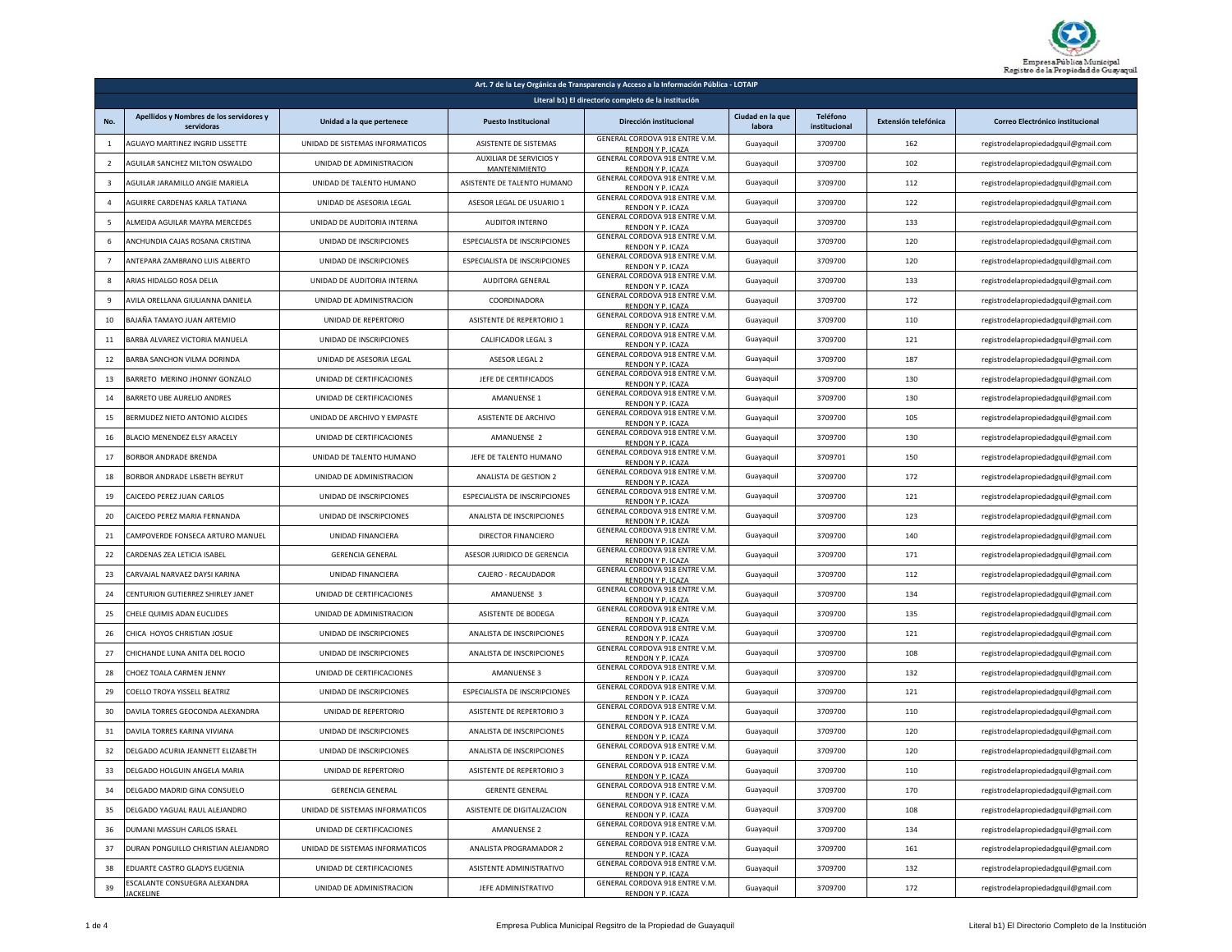

| Art. 7 de la Ley Orgánica de Transparencia y Acceso a la Información Pública - LOTAIP |                                                       |                                 |                                          |                                                     |                            |                                  |                      |                                      |
|---------------------------------------------------------------------------------------|-------------------------------------------------------|---------------------------------|------------------------------------------|-----------------------------------------------------|----------------------------|----------------------------------|----------------------|--------------------------------------|
| Literal b1) El directorio completo de la institución                                  |                                                       |                                 |                                          |                                                     |                            |                                  |                      |                                      |
|                                                                                       | Apellidos y Nombres de los servidores y<br>servidoras | Unidad a la que pertenece       | <b>Puesto Institucional</b>              | Dirección institucional                             | Ciudad en la que<br>labora | <b>Teléfono</b><br>institucional | Extensión telefónica | Correo Electrónico institucional     |
| 1                                                                                     | <b>AGUAYO MARTINEZ INGRID LISSETTE</b>                | UNIDAD DE SISTEMAS INFORMATICOS | ASISTENTE DE SISTEMAS                    | GENERAL CORDOVA 918 ENTRE V.M.<br>RENDON Y P. ICAZA | Guayaquil                  | 3709700                          | 162                  | registrodelapropiedadgquil@gmail.com |
| $\overline{2}$                                                                        | AGUILAR SANCHEZ MILTON OSWALDO                        | UNIDAD DE ADMINISTRACION        | AUXILIAR DE SERVICIOS Y<br>MANTENIMIENTO | GENERAL CORDOVA 918 ENTRE V.M.<br>RENDON Y P. ICAZA | Guayaquil                  | 3709700                          | 102                  | registrodelapropiedadgquil@gmail.com |
| $\overline{\mathbf{3}}$                                                               | AGUILAR JARAMILLO ANGIE MARIELA                       | UNIDAD DE TALENTO HUMANO        | ASISTENTE DE TALENTO HUMANO              | GENERAL CORDOVA 918 ENTRE V.M.<br>RENDON Y P. ICAZA | Guayaquil                  | 3709700                          | 112                  | registrodelapropiedadgquil@gmail.com |
| $\overline{4}$                                                                        | AGUIRRE CARDENAS KARLA TATIANA                        | UNIDAD DE ASESORIA LEGAL        | ASESOR LEGAL DE USUARIO 1                | GENERAL CORDOVA 918 ENTRE V.M.<br>RENDON Y P. ICAZA | Guayaquil                  | 3709700                          | 122                  | registrodelapropiedadgquil@gmail.com |
| 5                                                                                     | ALMEIDA AGUILAR MAYRA MERCEDES                        | UNIDAD DE AUDITORIA INTERNA     | <b>AUDITOR INTERNO</b>                   | GENERAL CORDOVA 918 ENTRE V.M.<br>RENDON Y P. ICAZA | Guayaquil                  | 3709700                          | 133                  | registrodelapropiedadgquil@gmail.com |
| 6                                                                                     | ANCHUNDIA CAJAS ROSANA CRISTINA                       | UNIDAD DE INSCRIPCIONES         | <b>ESPECIALISTA DE INSCRIPCIONES</b>     | GENERAL CORDOVA 918 ENTRE V.M.<br>RENDON Y P. ICAZA | Guayaquil                  | 3709700                          | 120                  | registrodelapropiedadgquil@gmail.com |
|                                                                                       | ANTEPARA ZAMBRANO LUIS ALBERTO                        | UNIDAD DE INSCRIPCIONES         | ESPECIALISTA DE INSCRIPCIONES            | GENERAL CORDOVA 918 ENTRE V.M.<br>RENDON Y P. ICAZA | Guayaquil                  | 3709700                          | 120                  | registrodelapropiedadgquil@gmail.com |
| -8                                                                                    | ARIAS HIDALGO ROSA DELIA                              | UNIDAD DE AUDITORIA INTERNA     | AUDITORA GENERAL                         | GENERAL CORDOVA 918 ENTRE V.M.<br>RENDON Y P. ICAZA | Guayaquil                  | 3709700                          | 133                  | registrodelapropiedadgquil@gmail.com |
| 9                                                                                     | AVILA ORELLANA GIULIANNA DANIELA                      | UNIDAD DE ADMINISTRACION        | COORDINADORA                             | GENERAL CORDOVA 918 ENTRE V.M.<br>RENDON Y P. ICAZA | Guayaquil                  | 3709700                          | 172                  | registrodelapropiedadgquil@gmail.com |
| 10                                                                                    | BAJAÑA TAMAYO JUAN ARTEMIO                            | UNIDAD DE REPERTORIO            | ASISTENTE DE REPERTORIO 1                | GENERAL CORDOVA 918 ENTRE V.M.<br>RENDON Y P. ICAZA | Guayaquil                  | 3709700                          | 110                  | registrodelapropiedadgquil@gmail.com |
| 11                                                                                    | BARBA ALVAREZ VICTORIA MANUELA                        | UNIDAD DE INSCRIPCIONES         | CALIFICADOR LEGAL 3                      | GENERAL CORDOVA 918 ENTRE V.M.<br>RENDON Y P. ICAZA | Guayaquil                  | 3709700                          | 121                  | registrodelapropiedadgquil@gmail.com |
| 12                                                                                    | BARBA SANCHON VILMA DORINDA                           | UNIDAD DE ASESORIA LEGAL        | ASESOR LEGAL 2                           | GENERAL CORDOVA 918 ENTRE V.M.<br>RENDON Y P. ICAZA | Guayaquil                  | 3709700                          | 187                  | registrodelapropiedadgquil@gmail.com |
| 13                                                                                    | BARRETO MERINO JHONNY GONZALO                         | UNIDAD DE CERTIFICACIONES       | JEFE DE CERTIFICADOS                     | GENERAL CORDOVA 918 ENTRE V.M.<br>RENDON Y P. ICAZA | Guayaquil                  | 3709700                          | 130                  | registrodelapropiedadgquil@gmail.com |
| 14                                                                                    | BARRETO UBE AURELIO ANDRES                            | UNIDAD DE CERTIFICACIONES       | AMANUENSE 1                              | GENERAL CORDOVA 918 ENTRE V.M.<br>RENDON Y P. ICAZA | Guayaquil                  | 3709700                          | 130                  | registrodelapropiedadgquil@gmail.com |
| 15                                                                                    | BERMUDEZ NIETO ANTONIO ALCIDES                        | UNIDAD DE ARCHIVO Y EMPASTE     | ASISTENTE DE ARCHIVO                     | GENERAL CORDOVA 918 ENTRE V.M.<br>RENDON Y P. ICAZA | Guayaquil                  | 3709700                          | 105                  | registrodelapropiedadgquil@gmail.com |
| 16                                                                                    | BLACIO MENENDEZ ELSY ARACELY                          | UNIDAD DE CERTIFICACIONES       | AMANUENSE 2                              | GENERAL CORDOVA 918 ENTRE V.M.<br>RENDON Y P. ICAZA | Guayaquil                  | 3709700                          | 130                  | registrodelapropiedadgquil@gmail.com |
| 17                                                                                    | BORBOR ANDRADE BRENDA                                 | UNIDAD DE TALENTO HUMANO        | JEFE DE TALENTO HUMANO                   | GENERAL CORDOVA 918 ENTRE V.M.<br>RENDON Y P. ICAZA | Guayaquil                  | 3709701                          | 150                  | registrodelapropiedadgquil@gmail.com |
| 18                                                                                    | BORBOR ANDRADE LISBETH BEYRUT                         | UNIDAD DE ADMINISTRACION        | ANALISTA DE GESTION 2                    | GENERAL CORDOVA 918 ENTRE V.M.<br>RENDON Y P. ICAZA | Guayaquil                  | 3709700                          | 172                  | registrodelapropiedadgquil@gmail.com |
| 19                                                                                    | CAICEDO PEREZ JUAN CARLOS                             | UNIDAD DE INSCRIPCIONES         | <b>ESPECIALISTA DE INSCRIPCIONES</b>     | GENERAL CORDOVA 918 ENTRE V.M.<br>RENDON Y P. ICAZA | Guayaquil                  | 3709700                          | 121                  | registrodelapropiedadgquil@gmail.com |
| 20                                                                                    | CAICEDO PEREZ MARIA FERNANDA                          | UNIDAD DE INSCRIPCIONES         | ANALISTA DE INSCRIPCIONES                | GENERAL CORDOVA 918 ENTRE V.M.<br>RENDON Y P. ICAZA | Guayaquil                  | 3709700                          | 123                  | registrodelapropiedadgquil@gmail.com |
| 21                                                                                    | CAMPOVERDE FONSECA ARTURO MANUEL                      | UNIDAD FINANCIERA               | DIRECTOR FINANCIERO                      | GENERAL CORDOVA 918 ENTRE V.M.<br>RENDON Y P. ICAZA | Guayaquil                  | 3709700                          | 140                  | registrodelapropiedadgquil@gmail.com |
| 22                                                                                    | CARDENAS ZEA LETICIA ISABEL                           | <b>GERENCIA GENERAL</b>         | ASESOR JURIDICO DE GERENCIA              | GENERAL CORDOVA 918 ENTRE V.M.<br>RENDON Y P. ICAZA | Guayaquil                  | 3709700                          | 171                  | registrodelapropiedadgquil@gmail.com |
| 23                                                                                    | CARVAJAL NARVAEZ DAYSI KARINA                         | UNIDAD FINANCIERA               | CAJERO - RECAUDADOR                      | GENERAL CORDOVA 918 ENTRE V.M.<br>RENDON Y P. ICAZA | Guayaquil                  | 3709700                          | 112                  | registrodelapropiedadgquil@gmail.com |
| 24                                                                                    | <b>CENTURION GUTIERREZ SHIRLEY JANET</b>              | UNIDAD DE CERTIFICACIONES       | AMANUENSE 3                              | GENERAL CORDOVA 918 ENTRE V.M.<br>RENDON Y P. ICAZA | Guayaquil                  | 3709700                          | 134                  | registrodelapropiedadgquil@gmail.com |
| 25                                                                                    | CHELE QUIMIS ADAN EUCLIDES                            | UNIDAD DE ADMINISTRACION        | ASISTENTE DE BODEGA                      | GENERAL CORDOVA 918 ENTRE V.M.<br>RENDON Y P. ICAZA | Guayaquil                  | 3709700                          | 135                  | registrodelapropiedadgquil@gmail.com |
| 26                                                                                    | CHICA HOYOS CHRISTIAN JOSUE                           | UNIDAD DE INSCRIPCIONES         | ANALISTA DE INSCRIPCIONES                | GENERAL CORDOVA 918 ENTRE V.M.<br>RENDON Y P. ICAZA | Guayaquil                  | 3709700                          | 121                  | registrodelapropiedadgquil@gmail.com |
| 27                                                                                    | CHICHANDE LUNA ANITA DEL ROCIO                        | UNIDAD DE INSCRIPCIONES         | ANALISTA DE INSCRIPCIONES                | GENERAL CORDOVA 918 ENTRE V.M.<br>RENDON Y P. ICAZA | Guayaquil                  | 3709700                          | 108                  | registrodelapropiedadgquil@gmail.com |
| 28                                                                                    | CHOEZ TOALA CARMEN JENNY                              | UNIDAD DE CERTIFICACIONES       | <b>AMANUENSE 3</b>                       | GENERAL CORDOVA 918 ENTRE V.M.<br>RENDON Y P. ICAZA | Guayaquil                  | 3709700                          | 132                  | registrodelapropiedadgquil@gmail.com |
| 29                                                                                    | COELLO TROYA YISSELL BEATRIZ                          | UNIDAD DE INSCRIPCIONES         | ESPECIALISTA DE INSCRIPCIONES            | GENERAL CORDOVA 918 ENTRE V.M.<br>RENDON Y P. ICAZA | Guayaquil                  | 3709700                          | 121                  | registrodelapropiedadgquil@gmail.com |
| 30                                                                                    | DAVILA TORRES GEOCONDA ALEXANDRA                      | UNIDAD DE REPERTORIO            | ASISTENTE DE REPERTORIO 3                | GENERAL CORDOVA 918 ENTRE V.M.<br>RENDON Y P. ICAZA | Guayaquil                  | 3709700                          | 110                  | registrodelapropiedadgquil@gmail.com |
| 31                                                                                    | DAVILA TORRES KARINA VIVIANA                          | UNIDAD DE INSCRIPCIONES         | ANALISTA DE INSCRIPCIONES                | GENERAL CORDOVA 918 ENTRE V.M.<br>RENDON Y P. ICAZA | Guayaquil                  | 3709700                          | 120                  | registrodelapropiedadgquil@gmail.com |
| 32                                                                                    | DELGADO ACURIA JEANNETT ELIZABETH                     | UNIDAD DE INSCRIPCIONES         | ANALISTA DE INSCRIPCIONES                | GENERAL CORDOVA 918 ENTRE V.M.<br>RENDON Y P. ICAZA | Guayaquil                  | 3709700                          | 120                  | registrodelapropiedadgquil@gmail.com |
| 33                                                                                    | DELGADO HOLGUIN ANGELA MARIA                          | UNIDAD DE REPERTORIO            | ASISTENTE DE REPERTORIO 3                | GENERAL CORDOVA 918 ENTRE V.M.<br>RENDON V D ICAZA  | Guayaquil                  | 3709700                          | 110                  | registrodelapropiedadgquil@gmail.com |
| 34                                                                                    | DELGADO MADRID GINA CONSUELO                          | <b>GERENCIA GENERAL</b>         | <b>GERENTE GENERAL</b>                   | GENERAL CORDOVA 918 ENTRE V.M.<br>RENDON Y P. ICAZA | Guayaquil                  | 3709700                          | 170                  | registrodelapropiedadgquil@gmail.com |
| 35                                                                                    | DELGADO YAGUAL RAUL ALEJANDRO                         | UNIDAD DE SISTEMAS INFORMATICOS | ASISTENTE DE DIGITALIZACION              | GENERAL CORDOVA 918 ENTRE V.M.<br>RENDON Y P. ICAZA | Guayaquil                  | 3709700                          | 108                  | registrodelapropiedadgquil@gmail.com |
| 36                                                                                    | DUMANI MASSUH CARLOS ISRAEL                           | UNIDAD DE CERTIFICACIONES       | <b>AMANUENSE 2</b>                       | GENERAL CORDOVA 918 ENTRE V.M.<br>RENDON Y P. ICAZA | Guayaquil                  | 3709700                          | 134                  | registrodelapropiedadgquil@gmail.com |
| 37                                                                                    | DURAN PONGUILLO CHRISTIAN ALEJANDRO                   | UNIDAD DE SISTEMAS INFORMATICOS | ANALISTA PROGRAMADOR 2                   | GENERAL CORDOVA 918 ENTRE V.M.<br>RENDON Y P. ICAZA | Guayaquil                  | 3709700                          | 161                  | registrodelapropiedadgquil@gmail.com |
| 38                                                                                    | EDUARTE CASTRO GLADYS EUGENIA                         | UNIDAD DE CERTIFICACIONES       | ASISTENTE ADMINISTRATIVO                 | GENERAL CORDOVA 918 ENTRE V.M.<br>RENDON Y P. ICAZA | Guayaquil                  | 3709700                          | 132                  | registrodelapropiedadgquil@gmail.com |
| 39                                                                                    | ESCALANTE CONSUEGRA ALEXANDRA<br><b>JACKELINE</b>     | UNIDAD DE ADMINISTRACION        | JEFE ADMINISTRATIVO                      | GENERAL CORDOVA 918 ENTRE V.M.<br>RENDON Y P. ICAZA | Guayaquil                  | 3709700                          | 172                  | registrodelapropiedadgquil@gmail.com |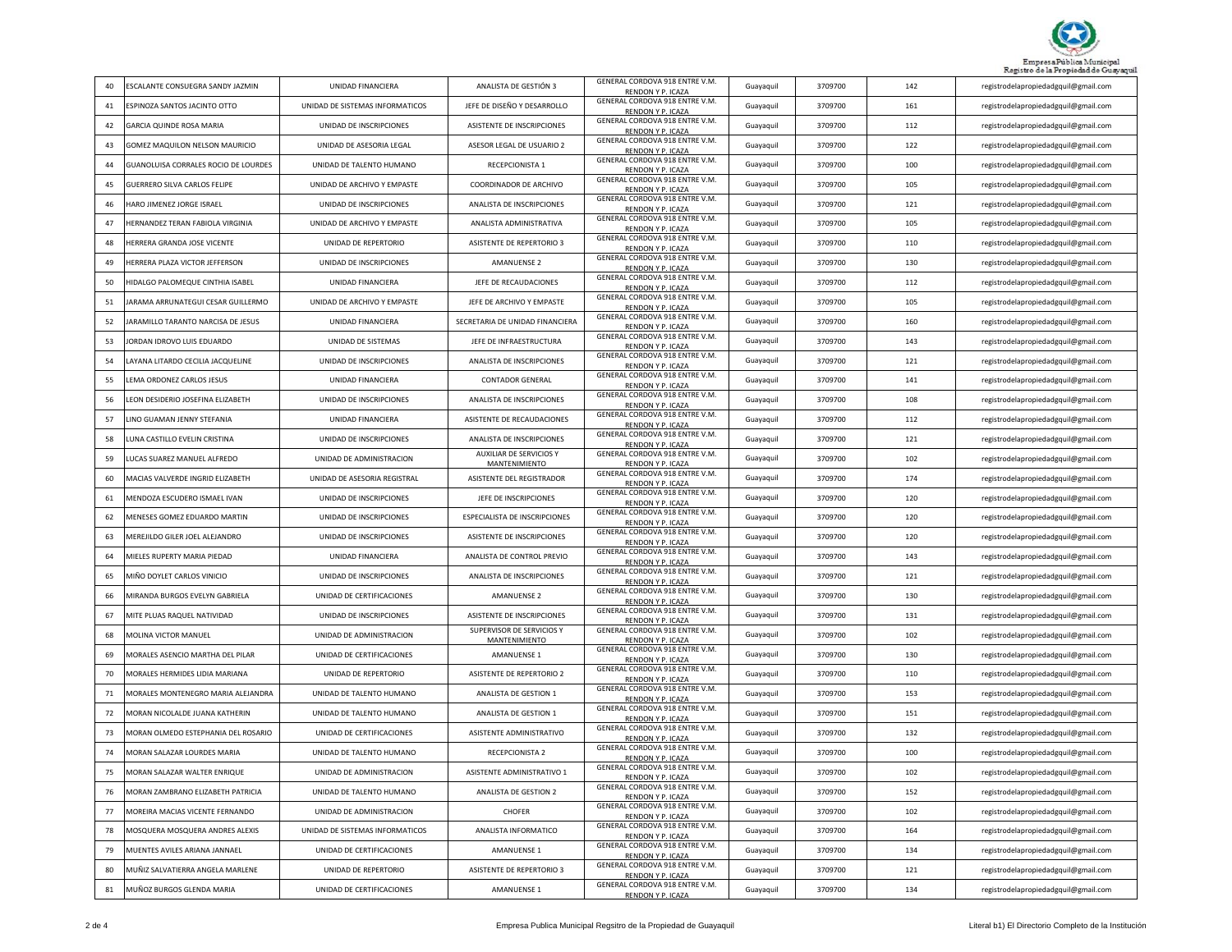

| 40 | ESCALANTE CONSUEGRA SANDY JAZMIN        | UNIDAD FINANCIERA               | ANALISTA DE GESTIÓN 3                             | GENERAL CORDOVA 918 ENTRE V.M.<br>RENDON Y P. ICAZA | Guayaquil | 3709700 | 142 | registrodelapropiedadgquil@gmail.com |
|----|-----------------------------------------|---------------------------------|---------------------------------------------------|-----------------------------------------------------|-----------|---------|-----|--------------------------------------|
| 41 | ESPINOZA SANTOS JACINTO OTTO            | UNIDAD DE SISTEMAS INFORMATICOS | JEFE DE DISEÑO Y DESARROLLO                       | GENERAL CORDOVA 918 ENTRE V.M.<br>RENDON Y P. ICAZA | Guayaquil | 3709700 | 161 | registrodelapropiedadgquil@gmail.com |
| 42 | GARCIA QUINDE ROSA MARIA                | UNIDAD DE INSCRIPCIONES         | ASISTENTE DE INSCRIPCIONES                        | GENERAL CORDOVA 918 ENTRE V.M.<br>RENDON Y P. ICAZA | Guayaquil | 3709700 | 112 | registrodelapropiedadgquil@gmail.com |
| 43 | GOMEZ MAQUILON NELSON MAURICIO          | UNIDAD DE ASESORIA LEGAL        | ASESOR LEGAL DE USUARIO 2                         | GENERAL CORDOVA 918 ENTRE V.M.<br>RENDON Y P. ICAZA | Guayaquil | 3709700 | 122 | registrodelapropiedadgquil@gmail.com |
| 44 | GUANOLUISA CORRALES ROCIO DE LOURDES    | UNIDAD DE TALENTO HUMANO        | RECEPCIONISTA 1                                   | GENERAL CORDOVA 918 ENTRE V.M.<br>RENDON Y P. ICAZA | Guayaquil | 3709700 | 100 | registrodelapropiedadgquil@gmail.com |
| 45 | GUERRERO SILVA CARLOS FELIPE            | UNIDAD DE ARCHIVO Y EMPASTE     | COORDINADOR DE ARCHIVO                            | GENERAL CORDOVA 918 ENTRE V.M.<br>RENDON Y P. ICAZA | Guayaquil | 3709700 | 105 | registrodelapropiedadgquil@gmail.com |
| 46 | HARO JIMENEZ JORGE ISRAEL               | UNIDAD DE INSCRIPCIONES         | ANALISTA DE INSCRIPCIONES                         | GENERAL CORDOVA 918 ENTRE V.M.<br>RENDON Y P. ICAZA | Guayaquil | 3709700 | 121 | registrodelapropiedadgquil@gmail.com |
| 47 | <b>HERNANDEZ TERAN FABIOLA VIRGINIA</b> | UNIDAD DE ARCHIVO Y EMPASTE     | ANALISTA ADMINISTRATIVA                           | GENERAL CORDOVA 918 ENTRE V.M.<br>RENDON Y P. ICAZA | Guayaquil | 3709700 | 105 | registrodelapropiedadgquil@gmail.com |
| 48 | <b>HERRERA GRANDA JOSE VICENTE</b>      | UNIDAD DE REPERTORIO            | ASISTENTE DE REPERTORIO 3                         | GENERAL CORDOVA 918 ENTRE V.M.<br>RENDON Y P. ICAZA | Guayaquil | 3709700 | 110 | registrodelapropiedadgquil@gmail.com |
| 49 | HERRERA PLAZA VICTOR JEFFERSON          | UNIDAD DE INSCRIPCIONES         | <b>AMANUENSE 2</b>                                | GENERAL CORDOVA 918 ENTRE V.M.<br>RENDON Y P. ICAZA | Guayaquil | 3709700 | 130 | registrodelapropiedadgquil@gmail.com |
| 50 | HIDALGO PALOMEQUE CINTHIA ISABEL        | <b>UNIDAD FINANCIERA</b>        | JEFE DE RECAUDACIONES                             | GENERAL CORDOVA 918 ENTRE V.M.<br>RENDON Y P. ICAZA | Guayaquil | 3709700 | 112 | registrodelapropiedadgquil@gmail.com |
| 51 | JARAMA ARRUNATEGUI CESAR GUILLERMO      | UNIDAD DE ARCHIVO Y EMPASTE     | JEFE DE ARCHIVO Y EMPASTE                         | GENERAL CORDOVA 918 ENTRE V.M.<br>RENDON Y P. ICAZA | Guayaquil | 3709700 | 105 | registrodelapropiedadgquil@gmail.com |
| 52 | JARAMILLO TARANTO NARCISA DE JESUS      | UNIDAD FINANCIERA               | SECRETARIA DE UNIDAD FINANCIERA                   | GENERAL CORDOVA 918 ENTRE V.M.<br>RENDON Y P. ICAZA | Guayaquil | 3709700 | 160 | registrodelapropiedadgquil@gmail.com |
| 53 | JORDAN IDROVO LUIS EDUARDO              | UNIDAD DE SISTEMAS              | JEFE DE INFRAESTRUCTURA                           | GENERAL CORDOVA 918 ENTRE V.M.<br>RENDON Y P. ICAZA | Guayaquil | 3709700 | 143 | registrodelapropiedadgquil@gmail.com |
| 54 | AYANA LITARDO CECILIA JACQUELINE        | UNIDAD DE INSCRIPCIONES         | ANALISTA DE INSCRIPCIONES                         | GENERAL CORDOVA 918 ENTRE V.M.<br>RENDON Y P. ICAZA | Guayaquil | 3709700 | 121 | registrodelapropiedadgquil@gmail.com |
| 55 | EMA ORDONEZ CARLOS JESUS                | UNIDAD FINANCIERA               | <b>CONTADOR GENERAL</b>                           | GENERAL CORDOVA 918 ENTRE V.M.<br>RENDON Y P. ICAZA | Guayaquil | 3709700 | 141 | registrodelapropiedadgquil@gmail.com |
| 56 | LEON DESIDERIO JOSEFINA ELIZABETH       | UNIDAD DE INSCRIPCIONES         | ANALISTA DE INSCRIPCIONES                         | GENERAL CORDOVA 918 ENTRE V.M.<br>RENDON Y P. ICAZA | Guayaquil | 3709700 | 108 | registrodelapropiedadgquil@gmail.com |
| 57 | LINO GUAMAN JENNY STEFANIA              | UNIDAD FINANCIERA               | ASISTENTE DE RECAUDACIONES                        | GENERAL CORDOVA 918 ENTRE V.M.<br>RENDON Y P. ICAZA | Guayaquil | 3709700 | 112 | registrodelapropiedadgquil@gmail.com |
| 58 | UNA CASTILLO EVELIN CRISTINA            | UNIDAD DE INSCRIPCIONES         | ANALISTA DE INSCRIPCIONES                         | GENERAL CORDOVA 918 ENTRE V.M.<br>RENDON Y P. ICAZA | Guayaquil | 3709700 | 121 | registrodelapropiedadgquil@gmail.com |
| 59 | LUCAS SUAREZ MANUEL ALFREDO             | UNIDAD DE ADMINISTRACION        | AUXILIAR DE SERVICIOS Y<br>MANTENIMIENTO          | GENERAL CORDOVA 918 ENTRE V.M.<br>RENDON Y P. ICAZA | Guayaquil | 3709700 | 102 | registrodelapropiedadgquil@gmail.com |
| 60 | MACIAS VALVERDE INGRID ELIZABETH        | UNIDAD DE ASESORIA REGISTRAL    | ASISTENTE DEL REGISTRADOR                         | GENERAL CORDOVA 918 ENTRE V.M.<br>RENDON Y P. ICAZA | Guayaquil | 3709700 | 174 | registrodelapropiedadgquil@gmail.com |
| 61 | MENDOZA ESCUDERO ISMAEL IVAN            | UNIDAD DE INSCRIPCIONES         | JEFE DE INSCRIPCIONES                             | GENERAL CORDOVA 918 ENTRE V.M.<br>RENDON Y P. ICAZA | Guayaquil | 3709700 | 120 | registrodelapropiedadgquil@gmail.com |
| 62 | <b>MENESES GOMEZ EDUARDO MARTIN</b>     | UNIDAD DE INSCRIPCIONES         | ESPECIALISTA DE INSCRIPCIONES                     | GENERAL CORDOVA 918 ENTRE V.M.<br>RENDON Y P. ICAZA | Guayaquil | 3709700 | 120 | registrodelapropiedadgquil@gmail.com |
| 63 | MEREJILDO GILER JOEL ALEJANDRO          | UNIDAD DE INSCRIPCIONES         | ASISTENTE DE INSCRIPCIONES                        | GENERAL CORDOVA 918 ENTRE V.M.<br>RENDON Y P. ICAZA | Guayaquil | 3709700 | 120 | registrodelapropiedadgquil@gmail.com |
| 64 | MIELES RUPERTY MARIA PIEDAD             | UNIDAD FINANCIERA               | ANALISTA DE CONTROL PREVIO                        | GENERAL CORDOVA 918 ENTRE V.M.<br>RENDON Y P. ICAZA | Guayaquil | 3709700 | 143 | registrodelapropiedadgquil@gmail.com |
| 65 | MIÑO DOYLET CARLOS VINICIO              | UNIDAD DE INSCRIPCIONES         | ANALISTA DE INSCRIPCIONES                         | GENERAL CORDOVA 918 ENTRE V.M.<br>RENDON Y P. ICAZA | Guayaquil | 3709700 | 121 | registrodelapropiedadgquil@gmail.com |
| 66 | MIRANDA BURGOS EVELYN GABRIELA          | UNIDAD DE CERTIFICACIONES       | <b>AMANUENSE 2</b>                                | GENERAL CORDOVA 918 ENTRE V.M.<br>RENDON Y P. ICAZA | Guayaquil | 3709700 | 130 | registrodelapropiedadgquil@gmail.com |
| 67 | MITE PLUAS RAQUEL NATIVIDAD             | UNIDAD DE INSCRIPCIONES         | ASISTENTE DE INSCRIPCIONES                        | GENERAL CORDOVA 918 ENTRE V.M.<br>RENDON Y P. ICAZA | Guayaquil | 3709700 | 131 | registrodelapropiedadgquil@gmail.com |
| 68 | MOLINA VICTOR MANUEL                    | UNIDAD DE ADMINISTRACION        | SUPERVISOR DE SERVICIOS Y<br><b>MANTENIMIENTO</b> | GENERAL CORDOVA 918 ENTRE V.M.<br>RENDON Y P. ICAZA | Guayaquil | 3709700 | 102 | registrodelapropiedadgquil@gmail.com |
| 69 | MORALES ASENCIO MARTHA DEL PILAR        | UNIDAD DE CERTIFICACIONES       | AMANUENSE 1                                       | GENERAL CORDOVA 918 ENTRE V.M.<br>RENDON Y P. ICAZA | Guayaquil | 3709700 | 130 | registrodelapropiedadgquil@gmail.com |
| 70 | MORALES HERMIDES LIDIA MARIANA          | UNIDAD DE REPERTORIO            | ASISTENTE DE REPERTORIO 2                         | GENERAL CORDOVA 918 ENTRE V.M.<br>RENDON Y P. ICAZA | Guayaquil | 3709700 | 110 | registrodelapropiedadgquil@gmail.com |
| 71 | MORALES MONTENEGRO MARIA ALEJANDRA      | UNIDAD DE TALENTO HUMANO        | ANALISTA DE GESTION 1                             | GENERAL CORDOVA 918 ENTRE V.M.<br>RENDON Y P. ICAZA | Guayaquil | 3709700 | 153 | registrodelapropiedadgquil@gmail.com |
| 72 | MORAN NICOLALDE JUANA KATHERIN          | UNIDAD DE TALENTO HUMANO        | ANALISTA DE GESTION 1                             | GENERAL CORDOVA 918 ENTRE V.M.<br>RENDON Y P. ICAZA | Guayaquil | 3709700 | 151 | registrodelapropiedadgquil@gmail.com |
| 73 | MORAN OLMEDO ESTEPHANIA DEL ROSARIO     | UNIDAD DE CERTIFICACIONES       | ASISTENTE ADMINISTRATIVO                          | GENERAL CORDOVA 918 ENTRE V.M.<br>RENDON Y P. ICAZA | Guayaquil | 3709700 | 132 | registrodelapropiedadgquil@gmail.com |
| 74 | MORAN SALAZAR LOURDES MARIA             | UNIDAD DE TALENTO HUMANO        | RECEPCIONISTA 2                                   | GENERAL CORDOVA 918 ENTRE V.M.<br>RENDON Y P. ICAZA | Guayaquil | 3709700 | 100 | registrodelapropiedadgquil@gmail.com |
|    | MORAN SALAZAR WALTER ENRIOUE            | UNIDAD DE ADMINISTRACION        | <b>ASISTENTE ADMINISTRATIVO 1</b>                 | GENERAL CORDOVA 918 ENTRE V.M.<br>RENDON Y P. ICAZA | Guayaquil | 3709700 | 102 | registrodelapropiedadgquil@gmail.com |
| 76 | MORAN ZAMBRANO ELIZABETH PATRICIA       | UNIDAD DE TALENTO HUMANO        | ANALISTA DE GESTION 2                             | GENERAL CORDOVA 918 ENTRE V.M.<br>RENDON Y P. ICAZA | Guayaquil | 3709700 | 152 | registrodelapropiedadgquil@gmail.com |
| 77 | MOREIRA MACIAS VICENTE FERNANDO         | UNIDAD DE ADMINISTRACION        | <b>CHOFER</b>                                     | GENERAL CORDOVA 918 ENTRE V.M.<br>RENDON Y P. ICAZA | Guayaquil | 3709700 | 102 | registrodelapropiedadgquil@gmail.com |
| 78 | MOSQUERA MOSQUERA ANDRES ALEXIS         | UNIDAD DE SISTEMAS INFORMATICOS | ANALISTA INFORMATICO                              | GENERAL CORDOVA 918 ENTRE V.M.<br>RENDON Y P. ICAZA | Guayaquil | 3709700 | 164 | registrodelapropiedadgquil@gmail.com |
| 79 | MUENTES AVILES ARIANA JANNAEL           | UNIDAD DE CERTIFICACIONES       | AMANUENSE 1                                       | GENERAL CORDOVA 918 ENTRE V.M.<br>RENDON Y P. ICAZA | Guayaquil | 3709700 | 134 | registrodelapropiedadgquil@gmail.com |
| 80 | MUÑIZ SALVATIERRA ANGELA MARLENE        | UNIDAD DE REPERTORIO            | ASISTENTE DE REPERTORIO 3                         | GENERAL CORDOVA 918 ENTRE V.M.<br>RENDON Y P. ICAZA | Guayaquil | 3709700 | 121 | registrodelapropiedadgquil@gmail.com |
| 81 | MUÑOZ BURGOS GLENDA MARIA               | UNIDAD DE CERTIFICACIONES       | AMANUENSE 1                                       | GENERAL CORDOVA 918 ENTRE V.M.<br>RENDON Y P. ICAZA | Guayaquil | 3709700 | 134 | registrodelapropiedadgquil@gmail.com |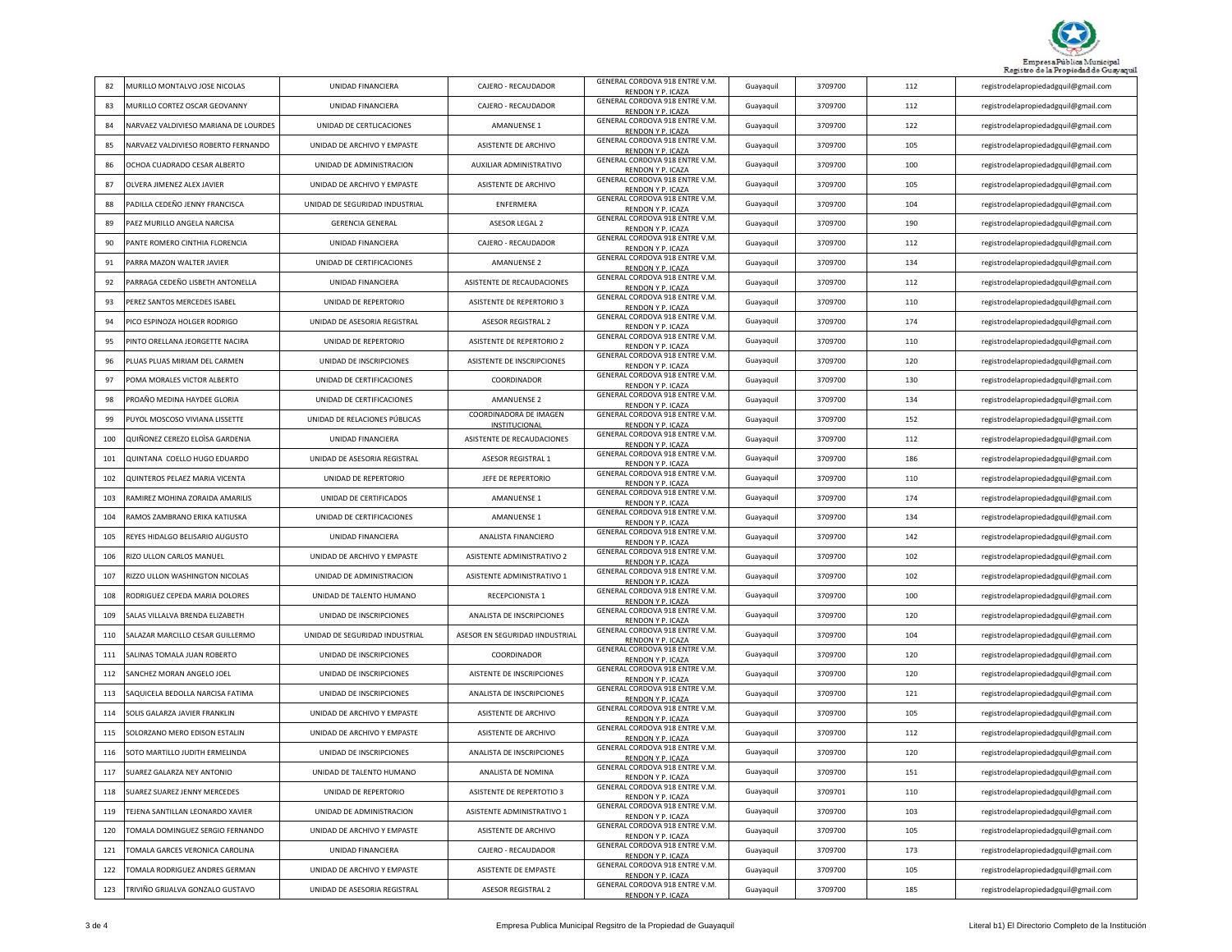

| 82  | MURILLO MONTALVO JOSE NICOLAS         | UNIDAD FINANCIERA                | CAJERO - RECAUDADOR                     | GENERAL CORDOVA 918 ENTRE V.M.<br>RENDON Y P. ICAZA | Guayaquil | 3709700 | 112 | registrodelapropiedadgquil@gmail.com |
|-----|---------------------------------------|----------------------------------|-----------------------------------------|-----------------------------------------------------|-----------|---------|-----|--------------------------------------|
| 83  | MURILLO CORTEZ OSCAR GEOVANNY         | UNIDAD FINANCIERA                | CAJERO - RECAUDADOR                     | GENERAL CORDOVA 918 ENTRE V.M.<br>RENDON Y P. ICAZA | Guayaquil | 3709700 | 112 | registrodelapropiedadgquil@gmail.com |
| 84  | NARVAEZ VALDIVIESO MARIANA DE LOURDES | UNIDAD DE CERTLICACIONES         | AMANUENSE 1                             | GENERAL CORDOVA 918 ENTRE V.M.<br>RENDON Y P. ICAZA | Guayaquil | 3709700 | 122 | registrodelapropiedadgquil@gmail.com |
| 85  | NARVAEZ VALDIVIESO ROBERTO FERNANDO   | UNIDAD DE ARCHIVO Y EMPASTE      | ASISTENTE DE ARCHIVO                    | GENERAL CORDOVA 918 ENTRE V.M.<br>RENDON Y P. ICAZA | Guayaquil | 3709700 | 105 | registrodelapropiedadgquil@gmail.com |
| 86  | OCHOA CUADRADO CESAR ALBERTO          | UNIDAD DE ADMINISTRACION         | AUXILIAR ADMINISTRATIVO                 | GENERAL CORDOVA 918 ENTRE V.M.<br>RENDON Y P. ICAZA | Guayaquil | 3709700 | 100 | registrodelapropiedadgquil@gmail.com |
| 87  | OLVERA JIMENEZ ALEX JAVIER            | UNIDAD DE ARCHIVO Y EMPASTE      | ASISTENTE DE ARCHIVO                    | GENERAL CORDOVA 918 ENTRE V.M.<br>RENDON Y P. ICAZA | Guayaquil | 3709700 | 105 | registrodelapropiedadgquil@gmail.com |
| 88  | PADILLA CEDEÑO JENNY FRANCISCA        | UNIDAD DE SEGURIDAD INDUSTRIAL   | ENFERMERA                               | GENERAL CORDOVA 918 ENTRE V.M.<br>RENDON Y P. ICAZA | Guayaquil | 3709700 | 104 | registrodelapropiedadgquil@gmail.com |
| 89  | PAEZ MURILLO ANGELA NARCISA           | <b>GERENCIA GENERAL</b>          | ASESOR LEGAL 2                          | GENERAL CORDOVA 918 ENTRE V.M.<br>RENDON Y P. ICAZA | Guayaquil | 3709700 | 190 | registrodelapropiedadgquil@gmail.com |
| 90  | PANTE ROMERO CINTHIA FLORENCIA        | UNIDAD FINANCIERA                | CAJERO - RECAUDADOR                     | GENERAL CORDOVA 918 ENTRE V.M.<br>RENDON Y P. ICAZA | Guayaquil | 3709700 | 112 | registrodelapropiedadgquil@gmail.com |
| 91  | PARRA MAZON WALTER JAVIER             | UNIDAD DE CERTIFICACIONES        | <b>AMANUENSE 2</b>                      | GENERAL CORDOVA 918 ENTRE V.M.<br>RENDON Y P. ICAZA | Guayaquil | 3709700 | 134 | registrodelapropiedadgquil@gmail.com |
| 92  | PARRAGA CEDEÑO LISBETH ANTONELLA      | UNIDAD FINANCIERA                | ASISTENTE DE RECAUDACIONES              | GENERAL CORDOVA 918 ENTRE V.M.<br>RENDON Y P. ICAZA | Guayaquil | 3709700 | 112 | registrodelapropiedadgquil@gmail.com |
| 93  | PEREZ SANTOS MERCEDES ISABEL          | UNIDAD DE REPERTORIO             | ASISTENTE DE REPERTORIO 3               | GENERAL CORDOVA 918 ENTRE V.M.<br>RENDON Y P. ICAZA | Guayaquil | 3709700 | 110 | registrodelapropiedadgquil@gmail.com |
| 94  | PICO ESPINOZA HOLGER RODRIGO          | UNIDAD DE ASESORIA REGISTRAL     | <b>ASESOR REGISTRAL 2</b>               | GENERAL CORDOVA 918 ENTRE V.M.<br>RENDON Y P. ICAZA | Guayaquil | 3709700 | 174 | registrodelapropiedadgquil@gmail.com |
| 95  | PINTO ORELLANA JEORGETTE NACIRA       | UNIDAD DE REPERTORIO             | ASISTENTE DE REPERTORIO 2               | GENERAL CORDOVA 918 ENTRE V.M.<br>RENDON Y P. ICAZA | Guayaquil | 3709700 | 110 | registrodelapropiedadgquil@gmail.com |
| 96  | PLUAS PLUAS MIRIAM DEL CARMEN         | UNIDAD DE INSCRIPCIONES          | ASISTENTE DE INSCRIPCIONES              | GENERAL CORDOVA 918 ENTRE V.M.<br>RENDON Y P. ICAZA | Guayaquil | 3709700 | 120 | registrodelapropiedadgquil@gmail.com |
| 97  | POMA MORALES VICTOR ALBERTO           | UNIDAD DE CERTIFICACIONES        | COORDINADOR                             | GENERAL CORDOVA 918 ENTRE V.M.<br>RENDON Y P. ICAZA | Guayaquil | 3709700 | 130 | registrodelapropiedadgquil@gmail.com |
| 98  | PROAÑO MEDINA HAYDEE GLORIA           | UNIDAD DE CERTIFICACIONES        | <b>AMANUENSE 2</b>                      | GENERAL CORDOVA 918 ENTRE V.M.<br>RENDON Y P. ICAZA | Guayaquil | 3709700 | 134 | registrodelapropiedadgquil@gmail.com |
| 99  | PUYOL MOSCOSO VIVIANA LISSETTE        | UNIDAD DE RELACIONES PÚBLICAS    | COORDINADORA DE IMAGEN<br>INSTITUCIONAL | GENERAL CORDOVA 918 ENTRE V.M.<br>RENDON Y P. ICAZA | Guayaquil | 3709700 | 152 | registrodelapropiedadgquil@gmail.com |
| 100 | QUIÑONEZ CEREZO ELOÌSA GARDENIA       | UNIDAD FINANCIERA                | ASISTENTE DE RECAUDACIONES              | GENERAL CORDOVA 918 ENTRE V.M.<br>RENDON Y P. ICAZA | Guayaquil | 3709700 | 112 | registrodelapropiedadgquil@gmail.com |
| 101 | QUINTANA COELLO HUGO EDUARDO          | UNIDAD DE ASESORIA REGISTRAL     | ASESOR REGISTRAL 1                      | GENERAL CORDOVA 918 ENTRE V.M.<br>RENDON Y P. ICAZA | Guayaquil | 3709700 | 186 | registrodelapropiedadgquil@gmail.com |
| 102 | QUINTEROS PELAEZ MARIA VICENTA        | UNIDAD DE REPERTORIO             | JEFE DE REPERTORIO                      | GENERAL CORDOVA 918 ENTRE V.M.<br>RENDON Y P. ICAZA | Guayaquil | 3709700 | 110 | registrodelapropiedadgquil@gmail.com |
| 103 | RAMIREZ MOHINA ZORAIDA AMARILIS       | UNIDAD DE CERTIFICADOS           | AMANUENSE 1                             | GENERAL CORDOVA 918 ENTRE V.M.<br>RENDON Y P. ICAZA | Guayaquil | 3709700 | 174 | registrodelapropiedadgquil@gmail.com |
| 104 | RAMOS ZAMBRANO ERIKA KATIUSKA         | UNIDAD DE CERTIFICACIONES        | <b>AMANUENSE 1</b>                      | GENERAL CORDOVA 918 ENTRE V.M.<br>RENDON Y P. ICAZA | Guayaquil | 3709700 | 134 | registrodelapropiedadgquil@gmail.com |
| 105 | REYES HIDALGO BELISARIO AUGUSTO       | UNIDAD FINANCIERA                | ANALISTA FINANCIERO                     | GENERAL CORDOVA 918 ENTRE V.M.<br>RENDON Y P. ICAZA | Guayaquil | 3709700 | 142 | registrodelapropiedadgquil@gmail.com |
| 106 | RIZO ULLON CARLOS MANUEL              | UNIDAD DE ARCHIVO Y EMPASTE      | ASISTENTE ADMINISTRATIVO 2              | GENERAL CORDOVA 918 ENTRE V.M.<br>RENDON Y P. ICAZA | Guayaquil | 3709700 | 102 | registrodelapropiedadgquil@gmail.com |
| 107 | RIZZO ULLON WASHINGTON NICOLAS        | UNIDAD DE ADMINISTRACION         | ASISTENTE ADMINISTRATIVO 1              | GENERAL CORDOVA 918 ENTRE V.M.<br>RENDON Y P. ICAZA | Guayaquil | 3709700 | 102 | registrodelapropiedadgquil@gmail.com |
| 108 | RODRIGUEZ CEPEDA MARIA DOLORES        | UNIDAD DE TALENTO HUMANO         | RECEPCIONISTA 1                         | GENERAL CORDOVA 918 ENTRE V.M.<br>RENDON Y P. ICAZA | Guayaquil | 3709700 | 100 | registrodelapropiedadgquil@gmail.com |
| 109 | SALAS VILLALVA BRENDA ELIZABETH       | UNIDAD DE INSCRIPCIONES          | ANALISTA DE INSCRIPCIONES               | GENERAL CORDOVA 918 ENTRE V.M.<br>RENDON Y P. ICAZA | Guayaquil | 3709700 | 120 | registrodelapropiedadgquil@gmail.com |
| 110 | SALAZAR MARCILLO CESAR GUILLERMO      | UNIDAD DE SEGURIDAD INDUSTRIAL   | ASESOR EN SEGURIDAD IINDUSTRIAL         | GENERAL CORDOVA 918 ENTRE V.M.<br>RENDON Y P. ICAZA | Guayaquil | 3709700 | 104 | registrodelapropiedadgquil@gmail.com |
| 111 | SALINAS TOMALA JUAN ROBERTO           | UNIDAD DE INSCRIPCIONES          | COORDINADOR                             | GENERAL CORDOVA 918 ENTRE V.M.<br>RENDON Y P. ICAZA | Guayaquil | 3709700 | 120 | registrodelapropiedadgquil@gmail.com |
| 112 | SANCHEZ MORAN ANGELO JOEL             | UNIDAD DE INSCRIPCIONES          | AISTENTE DE INSCRIPCIONES               | GENERAL CORDOVA 918 ENTRE V.M.<br>RENDON Y P. ICAZA | Guayaquil | 3709700 | 120 | registrodelapropiedadgquil@gmail.com |
| 113 | SAQUICELA BEDOLLA NARCISA FATIMA      | UNIDAD DE INSCRIPCIONES          | ANALISTA DE INSCRIPCIONES               | GENERAL CORDOVA 918 ENTRE V.M.<br>RENDON Y P. ICAZA | Guayaquil | 3709700 | 121 | registrodelapropiedadgquil@gmail.com |
| 114 | SOLIS GALARZA JAVIER FRANKLIN         | UNIDAD DE ARCHIVO Y EMPASTE      | ASISTENTE DE ARCHIVO                    | GENERAL CORDOVA 918 ENTRE V.M.<br>RENDON Y P. ICAZA | Guayaquil | 3709700 | 105 | registrodelapropiedadgquil@gmail.com |
| 115 | SOLORZANO MERO EDISON ESTALIN         | UNIDAD DE ARCHIVO Y EMPASTE      | ASISTENTE DE ARCHIVO                    | GENERAL CORDOVA 918 ENTRE V.M.<br>RENDON Y P. ICAZA | Guayaquil | 3709700 | 112 | registrodelapropiedadgquil@gmail.com |
| 116 | SOTO MARTILLO JUDITH ERMELINDA        | UNIDAD DE INSCRIPCIONES          | ANALISTA DE INSCRIPCIONES               | GENERAL CORDOVA 918 ENTRE V.M.<br>RENDON Y P. ICAZA | Guayaquil | 3709700 | 120 | registrodelapropiedadgquil@gmail.com |
| 117 | SUAREZ GALARZA NEY ANTONIO            | <b>LINIDAD DE TALENTO HUMANO</b> | ANALISTA DE NOMINA                      | GENERAL CORDOVA 918 ENTRE V.M.<br>RENDON Y P. ICAZA | Guayaquil | 3709700 | 151 | registrodelapropiedadgquil@gmail.com |
| 118 | SUAREZ SUAREZ JENNY MERCEDES          | UNIDAD DE REPERTORIO             | ASISTENTE DE REPERTOTIO 3               | GENERAL CORDOVA 918 ENTRE V.M.<br>RENDON Y P. ICAZA | Guayaquil | 3709701 | 110 | registrodelapropiedadgquil@gmail.com |
| 119 | TEJENA SANTILLAN LEONARDO XAVIER      | UNIDAD DE ADMINISTRACION         | ASISTENTE ADMINISTRATIVO 1              | GENERAL CORDOVA 918 ENTRE V.M.<br>RENDON Y P. ICAZA | Guayaquil | 3709700 | 103 | registrodelapropiedadgquil@gmail.com |
| 120 | TOMALA DOMINGUEZ SERGIO FERNANDO      | UNIDAD DE ARCHIVO Y EMPASTE      | ASISTENTE DE ARCHIVO                    | GENERAL CORDOVA 918 ENTRE V.M.<br>RENDON Y P. ICAZA | Guayaquil | 3709700 | 105 | registrodelapropiedadgquil@gmail.com |
| 121 | TOMALA GARCES VERONICA CAROLINA       | UNIDAD FINANCIERA                | CAJERO - RECAUDADOR                     | GENERAL CORDOVA 918 ENTRE V.M.<br>RENDON Y P. ICAZA | Guayaquil | 3709700 | 173 | registrodelapropiedadgquil@gmail.com |
| 122 | TOMALA RODRIGUEZ ANDRES GERMAN        | UNIDAD DE ARCHIVO Y EMPASTE      | ASISTENTE DE EMPASTE                    | GENERAL CORDOVA 918 ENTRE V.M.<br>RENDON Y P. ICAZA | Guayaquil | 3709700 | 105 | registrodelapropiedadgquil@gmail.com |
| 123 | TRIVIÑO GRIJALVA GONZALO GUSTAVO      | UNIDAD DE ASESORIA REGISTRAL     | <b>ASESOR REGISTRAL 2</b>               | GENERAL CORDOVA 918 ENTRE V.M.<br>RENDON Y P. ICAZA | Guayaquil | 3709700 | 185 | registrodelapropiedadgquil@gmail.com |